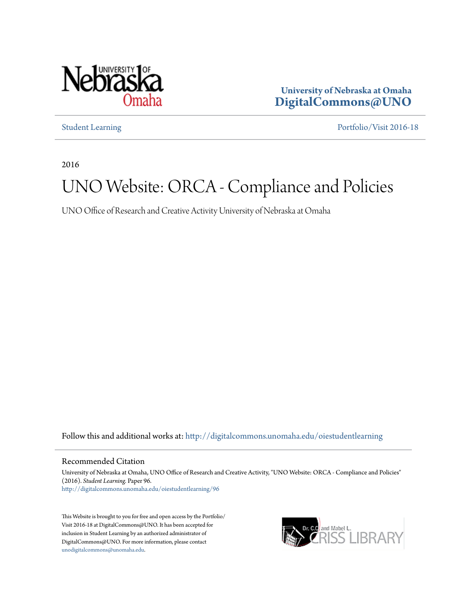

**University of Nebraska at Omaha [DigitalCommons@UNO](http://digitalcommons.unomaha.edu?utm_source=digitalcommons.unomaha.edu%2Foiestudentlearning%2F96&utm_medium=PDF&utm_campaign=PDFCoverPages)**

[Student Learning](http://digitalcommons.unomaha.edu/oiestudentlearning?utm_source=digitalcommons.unomaha.edu%2Foiestudentlearning%2F96&utm_medium=PDF&utm_campaign=PDFCoverPages) [Portfolio/Visit 2016-18](http://digitalcommons.unomaha.edu/oieportfolio?utm_source=digitalcommons.unomaha.edu%2Foiestudentlearning%2F96&utm_medium=PDF&utm_campaign=PDFCoverPages)

2016

## UNO Website: ORCA - Compliance and Policies

UNO Office of Research and Creative Activity University of Nebraska at Omaha

Follow this and additional works at: [http://digitalcommons.unomaha.edu/oiestudentlearning](http://digitalcommons.unomaha.edu/oiestudentlearning?utm_source=digitalcommons.unomaha.edu%2Foiestudentlearning%2F96&utm_medium=PDF&utm_campaign=PDFCoverPages)

#### Recommended Citation

University of Nebraska at Omaha, UNO Office of Research and Creative Activity, "UNO Website: ORCA - Compliance and Policies" (2016). *Student Learning.* Paper 96. [http://digitalcommons.unomaha.edu/oiestudentlearning/96](http://digitalcommons.unomaha.edu/oiestudentlearning/96?utm_source=digitalcommons.unomaha.edu%2Foiestudentlearning%2F96&utm_medium=PDF&utm_campaign=PDFCoverPages)

This Website is brought to you for free and open access by the Portfolio/ Visit 2016-18 at DigitalCommons@UNO. It has been accepted for inclusion in Student Learning by an authorized administrator of DigitalCommons@UNO. For more information, please contact [unodigitalcommons@unomaha.edu](mailto:unodigitalcommons@unomaha.edu).

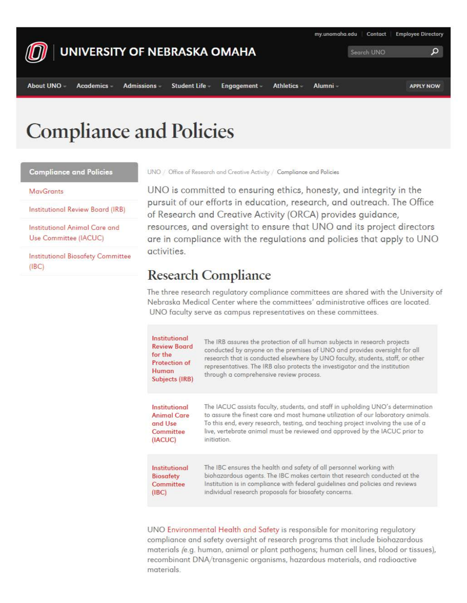

# **Compliance and Policies**

**Compliance and Policies** 

#### **MavGrants**

Institutional Review Board (IRB)

Institutional Animal Care and Use Committee (IACUC)

**Institutional Biosafety Committee** (IBC)

UNO / Office of Research and Creative Activity / Compliance and Policies

UNO is committed to ensuring ethics, honesty, and integrity in the pursuit of our efforts in education, research, and outreach. The Office of Research and Creative Activity (ORCA) provides guidance, resources, and oversight to ensure that UNO and its project directors are in compliance with the regulations and policies that apply to UNO activities.

### Research Compliance

The three research regulatory compliance committees ore shored with the University of Nebraska Medical Center where the committees' administrative offices ore located. UNO faculty serve as campus representatives on these committees.

| Institutional<br><b>Review Board</b><br>for the<br><b>Protection of</b><br>Human<br>Subjects (IRB) | The IRB assures the protection of all human subjects in research projects<br>conducted by anyone on the premises of UNO and provides oversight for all<br>research that is conducted elsewhere by UNO faculty, students, staff, or other<br>representatives. The IRB also protects the investigator and the institution<br>through a comprehensive review process. |
|----------------------------------------------------------------------------------------------------|--------------------------------------------------------------------------------------------------------------------------------------------------------------------------------------------------------------------------------------------------------------------------------------------------------------------------------------------------------------------|
| Institutional                                                                                      | The IACUC assists faculty, students, and staff in upholding UNO's determination                                                                                                                                                                                                                                                                                    |
| <b>Animal Care</b>                                                                                 | to assure the finest care and most humane utilization of our laboratory animals.                                                                                                                                                                                                                                                                                   |
| and Use                                                                                            | To this end, every research, testing, and teaching project involving the use of a                                                                                                                                                                                                                                                                                  |
| Committee                                                                                          | live, vertebrate animal must be reviewed and approved by the IACUC prior to                                                                                                                                                                                                                                                                                        |
| (IACUC)                                                                                            | <i>initiation</i>                                                                                                                                                                                                                                                                                                                                                  |
| Institutional                                                                                      | The IBC ensures the health and safety of all personnel working with                                                                                                                                                                                                                                                                                                |
| <b>Biosafety</b>                                                                                   | biohazardous agents. The IBC makes certain that research conducted at the                                                                                                                                                                                                                                                                                          |
| Committee                                                                                          | Institution is in compliance with federal guidelines and policies and reviews                                                                                                                                                                                                                                                                                      |
| (1BC)                                                                                              | individual research proposals for biosafety concerns.                                                                                                                                                                                                                                                                                                              |

UNO Environmental Health and Safety is responsible for monitoring regulatory compliance and safety oversight of research programs that include biohazardous materials {e.g. human, animal or plant pathogens; human cell lines, blood or tissues), recombinant DNA/transgenic organisms, hazardous materials, and radioactive materials.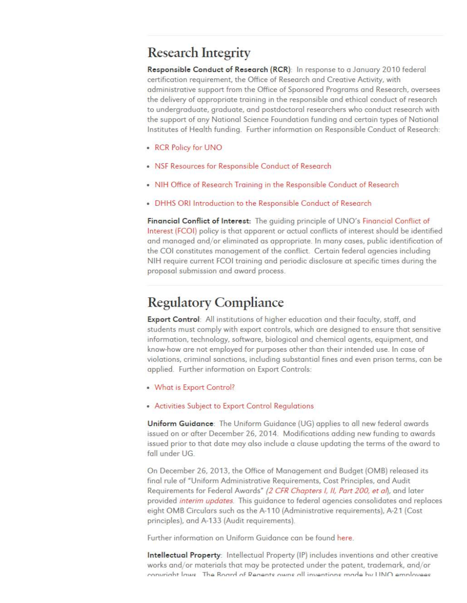### Research Integrity

Responsible Conduct of Research (RCR): In response to a January 2010 federal certification requirement, the Office of Research and Creative Activity, with administrative support from the Office of Sponsored Programs and Research, oversees t he delivery of appropriate training in the responsible and ethical conduct of research to undergraduate, graduate, and postdoctoral researchers who conduct research with t he support of any National Science Foundation funding and certain types of National Institutes of Health funding. Further information on Responsible Conduct of Research:

- RCR Policy for UNO
- NSF Resources for Responsible Conduct of Research
- NIH Office of Research Training in the Responsible Conduct of Research
- DHHS ORI Introduction to the Responsible Conduct of Research

**Financial Conflict of Interest:** The guiding principle of UNO's Financial Conflict of Interest (FCOI) policy is that apparent or actual conflicts of interest should be identified and managed and/or eliminated as appropriate. In many cases, public identification of the COI constitutes management of the conflict. Certain federal agencies including NIH require current FCOI training and periodic disclosure at specific times during the proposal submission and award process.

### Regulatory Compliance

**Export Control:** All institutions of higher education and their faculty, staff, and students must comply with export controls, which are designed to ensure that sensitive information, technology, software, biological and chemical agents, equipment, and know-how are not employed for purposes other than their intended use. In case of violations, criminal sanctions, including substantial fines and even prison terms, can be applied. Further information on Export Controls:

- What is Export Control?
- Activities Subject to Export Control Regulations

Uniform Guidance: The Uniform Guidance (UG) applies to all new federal awards issued on or after December 26, 2014. Modifications adding new funding to awards issued prior to that date may also include a clause updating the terms of the award to fall under UG.

On December 26, 2013, the Office of Management and Budget (0MB) released its final rule of "Uniform Administrative Requirements, Cost Principles, and Audit Requirements for Federal Awards" (2 CFR Chapters I, II, Part 200, et al), and later provided *interim updates.* This guidance to federal agencies consolidates and replaces eight 0MB Circulars such as the A-110 (Administrative requirements), A-21 (Cost principles), and A-133 (Audit requirements).

Further information on Uniform Guidance can be found here.

**Intellectual Property:** Intellectual Property (IP} includes inventions and other creative works and/or materials that may be protected under the patent, trademark, and/or **f"nn,rrinht lnu,c- ThQ Rnnrrl nf Qgngntc- nu.,nc- nll in,1gntinnc- mruf.c::t h\l I lh.l() ,g,mnlrn,,::u:ac-**